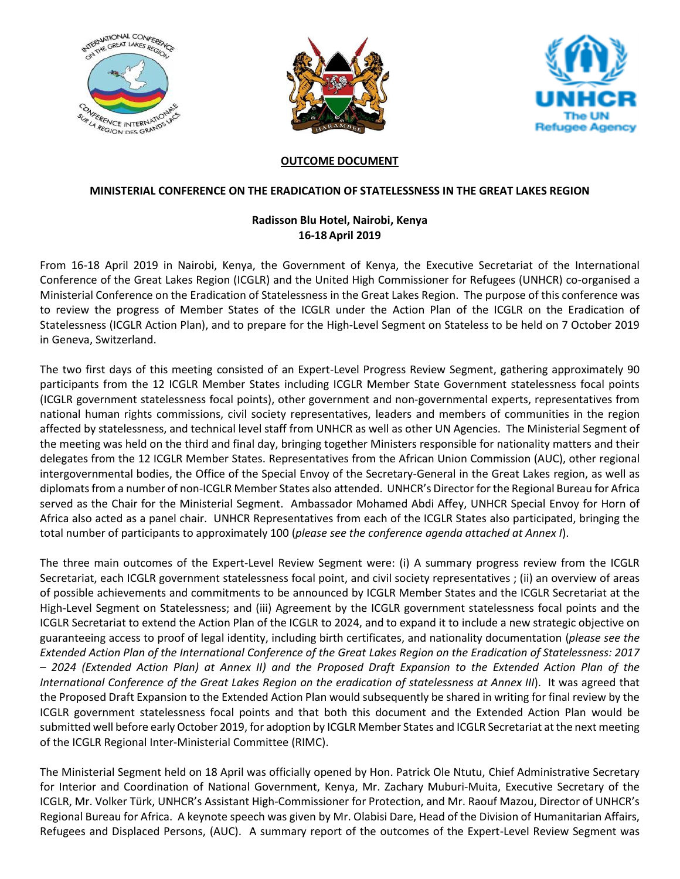





### **OUTCOME DOCUMENT**

### **MINISTERIAL CONFERENCE ON THE ERADICATION OF STATELESSNESS IN THE GREAT LAKES REGION**

# **Radisson Blu Hotel, Nairobi, Kenya 16-18 April 2019**

From 16-18 April 2019 in Nairobi, Kenya, the Government of Kenya, the Executive Secretariat of the International Conference of the Great Lakes Region (ICGLR) and the United High Commissioner for Refugees (UNHCR) co-organised a Ministerial Conference on the Eradication of Statelessness in the Great Lakes Region. The purpose of this conference was to review the progress of Member States of the ICGLR under the Action Plan of the ICGLR on the Eradication of Statelessness (ICGLR Action Plan), and to prepare for the High-Level Segment on Stateless to be held on 7 October 2019 in Geneva, Switzerland.

The two first days of this meeting consisted of an Expert-Level Progress Review Segment, gathering approximately 90 participants from the 12 ICGLR Member States including ICGLR Member State Government statelessness focal points (ICGLR government statelessness focal points), other government and non-governmental experts, representatives from national human rights commissions, civil society representatives, leaders and members of communities in the region affected by statelessness, and technical level staff from UNHCR as well as other UN Agencies. The Ministerial Segment of the meeting was held on the third and final day, bringing together Ministers responsible for nationality matters and their delegates from the 12 ICGLR Member States. Representatives from the African Union Commission (AUC), other regional intergovernmental bodies, the Office of the Special Envoy of the Secretary-General in the Great Lakes region, as well as diplomats from a number of non-ICGLR Member States also attended. UNHCR's Director for the Regional Bureau for Africa served as the Chair for the Ministerial Segment. Ambassador Mohamed Abdi Affey, UNHCR Special Envoy for Horn of Africa also acted as a panel chair. UNHCR Representatives from each of the ICGLR States also participated, bringing the total number of participants to approximately 100 (*please see the conference agenda attached at Annex I*).

The three main outcomes of the Expert-Level Review Segment were: (i) A summary progress review from the ICGLR Secretariat, each ICGLR government statelessness focal point, and civil society representatives ; (ii) an overview of areas of possible achievements and commitments to be announced by ICGLR Member States and the ICGLR Secretariat at the High-Level Segment on Statelessness; and (iii) Agreement by the ICGLR government statelessness focal points and the ICGLR Secretariat to extend the Action Plan of the ICGLR to 2024, and to expand it to include a new strategic objective on guaranteeing access to proof of legal identity, including birth certificates, and nationality documentation (*please see the Extended Action Plan of the International Conference of the Great Lakes Region on the Eradication of Statelessness: 2017 – 2024 (Extended Action Plan) at Annex II) and the Proposed Draft Expansion to the Extended Action Plan of the International Conference of the Great Lakes Region on the eradication of statelessness at Annex III*). It was agreed that the Proposed Draft Expansion to the Extended Action Plan would subsequently be shared in writing for final review by the ICGLR government statelessness focal points and that both this document and the Extended Action Plan would be submitted well before early October 2019, for adoption by ICGLR Member States and ICGLR Secretariat at the next meeting of the ICGLR Regional Inter-Ministerial Committee (RIMC).

The Ministerial Segment held on 18 April was officially opened by Hon. Patrick Ole Ntutu, Chief Administrative Secretary for Interior and Coordination of National Government, Kenya, Mr. Zachary Muburi-Muita, Executive Secretary of the ICGLR, Mr. Volker Türk, UNHCR's Assistant High-Commissioner for Protection, and Mr. Raouf Mazou, Director of UNHCR's Regional Bureau for Africa. A keynote speech was given by Mr. Olabisi Dare, Head of the Division of Humanitarian Affairs, Refugees and Displaced Persons, (AUC). A summary report of the outcomes of the Expert-Level Review Segment was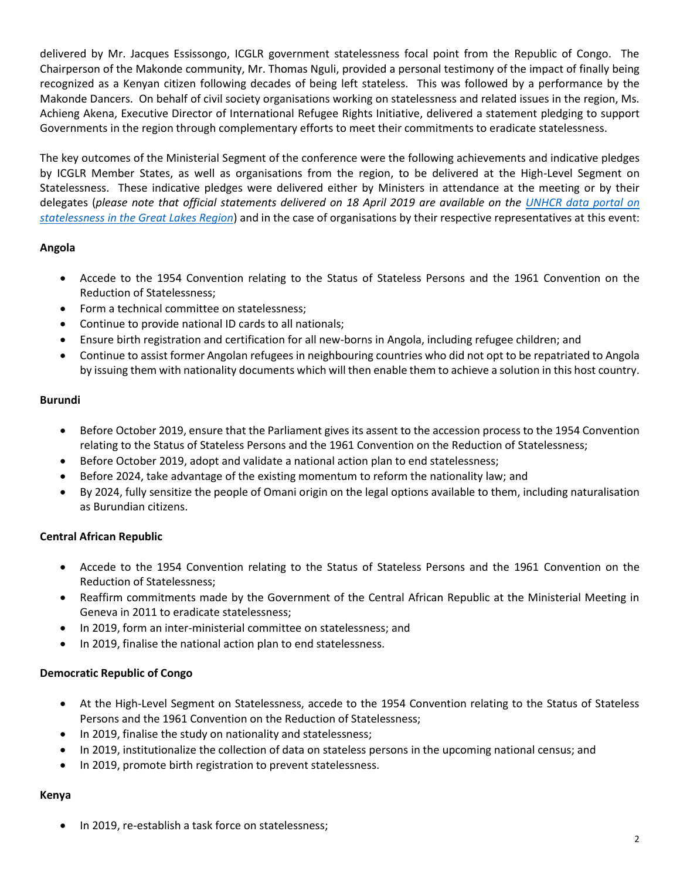delivered by Mr. Jacques Essissongo, ICGLR government statelessness focal point from the Republic of Congo. The Chairperson of the Makonde community, Mr. Thomas Nguli, provided a personal testimony of the impact of finally being recognized as a Kenyan citizen following decades of being left stateless. This was followed by a performance by the Makonde Dancers. On behalf of civil society organisations working on statelessness and related issues in the region, Ms. Achieng Akena, Executive Director of International Refugee Rights Initiative, delivered a statement pledging to support Governments in the region through complementary efforts to meet their commitments to eradicate statelessness.

The key outcomes of the Ministerial Segment of the conference were the following achievements and indicative pledges by ICGLR Member States, as well as organisations from the region, to be delivered at the High-Level Segment on Statelessness. These indicative pledges were delivered either by Ministers in attendance at the meeting or by their delegates (*please note that official statements delivered on 18 April 2019 are available on the [UNHCR data portal on](https://data2.unhcr.org/en/situations/statelessgl)  [statelessness in the Great Lakes Region](https://data2.unhcr.org/en/situations/statelessgl)*) and in the case of organisations by their respective representatives at this event:

## **Angola**

- Accede to the 1954 Convention relating to the Status of Stateless Persons and the 1961 Convention on the Reduction of Statelessness;
- Form a technical committee on statelessness;
- Continue to provide national ID cards to all nationals;
- Ensure birth registration and certification for all new-borns in Angola, including refugee children; and
- Continue to assist former Angolan refugees in neighbouring countries who did not opt to be repatriated to Angola by issuing them with nationality documents which will then enable them to achieve a solution in this host country.

### **Burundi**

- Before October 2019, ensure that the Parliament gives its assent to the accession process to the 1954 Convention relating to the Status of Stateless Persons and the 1961 Convention on the Reduction of Statelessness;
- Before October 2019, adopt and validate a national action plan to end statelessness;
- Before 2024, take advantage of the existing momentum to reform the nationality law; and
- By 2024, fully sensitize the people of Omani origin on the legal options available to them, including naturalisation as Burundian citizens.

## **Central African Republic**

- Accede to the 1954 Convention relating to the Status of Stateless Persons and the 1961 Convention on the Reduction of Statelessness;
- Reaffirm commitments made by the Government of the Central African Republic at the Ministerial Meeting in Geneva in 2011 to eradicate statelessness;
- In 2019, form an inter-ministerial committee on statelessness; and
- In 2019, finalise the national action plan to end statelessness.

### **Democratic Republic of Congo**

- At the High-Level Segment on Statelessness, accede to the 1954 Convention relating to the Status of Stateless Persons and the 1961 Convention on the Reduction of Statelessness;
- In 2019, finalise the study on nationality and statelessness;
- In 2019, institutionalize the collection of data on stateless persons in the upcoming national census; and
- In 2019, promote birth registration to prevent statelessness.

### **Kenya**

In 2019, re-establish a task force on statelessness;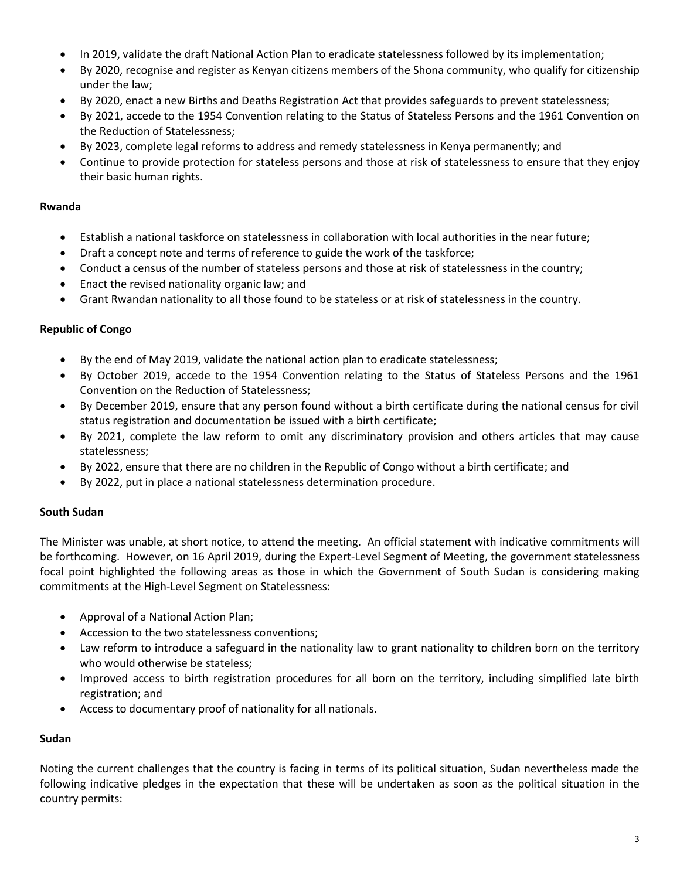- In 2019, validate the draft National Action Plan to eradicate statelessness followed by its implementation;
- By 2020, recognise and register as Kenyan citizens members of the Shona community, who qualify for citizenship under the law;
- By 2020, enact a new Births and Deaths Registration Act that provides safeguards to prevent statelessness;
- By 2021, accede to the 1954 Convention relating to the Status of Stateless Persons and the 1961 Convention on the Reduction of Statelessness;
- By 2023, complete legal reforms to address and remedy statelessness in Kenya permanently; and
- Continue to provide protection for stateless persons and those at risk of statelessness to ensure that they enjoy their basic human rights.

### **Rwanda**

- Establish a national taskforce on statelessness in collaboration with local authorities in the near future;
- Draft a concept note and terms of reference to guide the work of the taskforce;
- Conduct a census of the number of stateless persons and those at risk of statelessness in the country;
- Enact the revised nationality organic law; and
- Grant Rwandan nationality to all those found to be stateless or at risk of statelessness in the country.

### **Republic of Congo**

- By the end of May 2019, validate the national action plan to eradicate statelessness;
- By October 2019, accede to the 1954 Convention relating to the Status of Stateless Persons and the 1961 Convention on the Reduction of Statelessness;
- By December 2019, ensure that any person found without a birth certificate during the national census for civil status registration and documentation be issued with a birth certificate;
- By 2021, complete the law reform to omit any discriminatory provision and others articles that may cause statelessness;
- By 2022, ensure that there are no children in the Republic of Congo without a birth certificate; and
- By 2022, put in place a national statelessness determination procedure.

## **South Sudan**

The Minister was unable, at short notice, to attend the meeting. An official statement with indicative commitments will be forthcoming. However, on 16 April 2019, during the Expert-Level Segment of Meeting, the government statelessness focal point highlighted the following areas as those in which the Government of South Sudan is considering making commitments at the High-Level Segment on Statelessness:

- Approval of a National Action Plan;
- Accession to the two statelessness conventions;
- Law reform to introduce a safeguard in the nationality law to grant nationality to children born on the territory who would otherwise be stateless;
- Improved access to birth registration procedures for all born on the territory, including simplified late birth registration; and
- Access to documentary proof of nationality for all nationals.

### **Sudan**

Noting the current challenges that the country is facing in terms of its political situation, Sudan nevertheless made the following indicative pledges in the expectation that these will be undertaken as soon as the political situation in the country permits: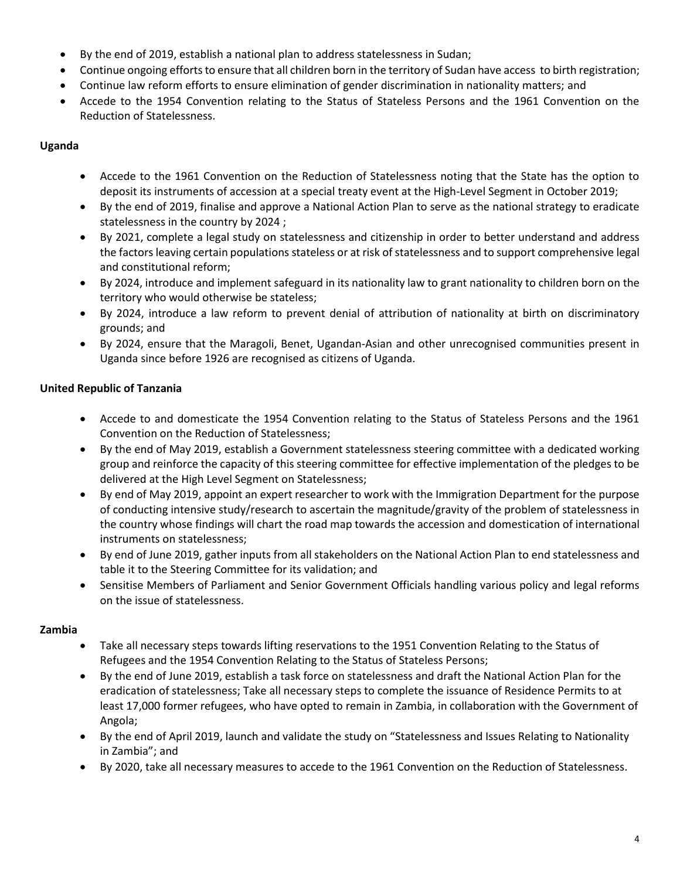- By the end of 2019, establish a national plan to address statelessness in Sudan;
- Continue ongoing efforts to ensure that all children born in the territory of Sudan have access to birth registration;
- Continue law reform efforts to ensure elimination of gender discrimination in nationality matters; and
- Accede to the 1954 Convention relating to the Status of Stateless Persons and the 1961 Convention on the Reduction of Statelessness.

# **Uganda**

- Accede to the 1961 Convention on the Reduction of Statelessness noting that the State has the option to deposit its instruments of accession at a special treaty event at the High-Level Segment in October 2019;
- By the end of 2019, finalise and approve a National Action Plan to serve as the national strategy to eradicate statelessness in the country by 2024 ;
- By 2021, complete a legal study on statelessness and citizenship in order to better understand and address the factors leaving certain populations stateless or at risk of statelessness and to support comprehensive legal and constitutional reform;
- By 2024, introduce and implement safeguard in its nationality law to grant nationality to children born on the territory who would otherwise be stateless;
- By 2024, introduce a law reform to prevent denial of attribution of nationality at birth on discriminatory grounds; and
- By 2024, ensure that the Maragoli, Benet, Ugandan-Asian and other unrecognised communities present in Uganda since before 1926 are recognised as citizens of Uganda.

# **United Republic of Tanzania**

- Accede to and domesticate the 1954 Convention relating to the Status of Stateless Persons and the 1961 Convention on the Reduction of Statelessness;
- By the end of May 2019, establish a Government statelessness steering committee with a dedicated working group and reinforce the capacity of this steering committee for effective implementation of the pledges to be delivered at the High Level Segment on Statelessness;
- By end of May 2019, appoint an expert researcher to work with the Immigration Department for the purpose of conducting intensive study/research to ascertain the magnitude/gravity of the problem of statelessness in the country whose findings will chart the road map towards the accession and domestication of international instruments on statelessness;
- By end of June 2019, gather inputs from all stakeholders on the National Action Plan to end statelessness and table it to the Steering Committee for its validation; and
- Sensitise Members of Parliament and Senior Government Officials handling various policy and legal reforms on the issue of statelessness.

## **Zambia**

- Take all necessary steps towards lifting reservations to the 1951 Convention Relating to the Status of Refugees and the 1954 Convention Relating to the Status of Stateless Persons;
- By the end of June 2019, establish a task force on statelessness and draft the National Action Plan for the eradication of statelessness; Take all necessary steps to complete the issuance of Residence Permits to at least 17,000 former refugees, who have opted to remain in Zambia, in collaboration with the Government of Angola;
- By the end of April 2019, launch and validate the study on "Statelessness and Issues Relating to Nationality in Zambia"; and
- By 2020, take all necessary measures to accede to the 1961 Convention on the Reduction of Statelessness.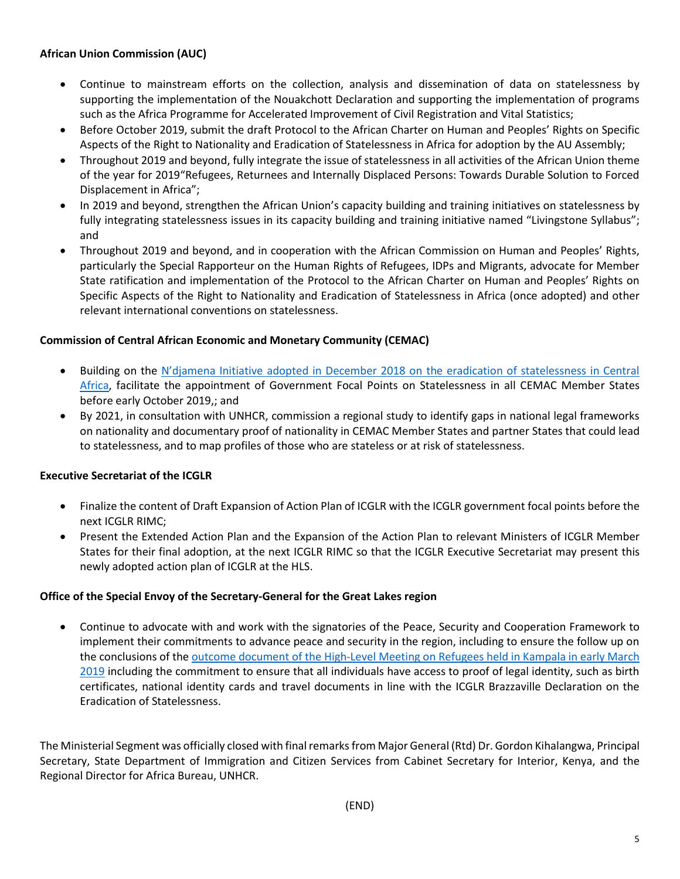### **African Union Commission (AUC)**

- Continue to mainstream efforts on the collection, analysis and dissemination of data on statelessness by supporting the implementation of the Nouakchott Declaration and supporting the implementation of programs such as the Africa Programme for Accelerated Improvement of Civil Registration and Vital Statistics;
- Before October 2019, submit the draft Protocol to the African Charter on Human and Peoples' Rights on Specific Aspects of the Right to Nationality and Eradication of Statelessness in Africa for adoption by the AU Assembly;
- Throughout 2019 and beyond, fully integrate the issue of statelessness in all activities of the African Union theme of the year for 2019"Refugees, Returnees and Internally Displaced Persons: Towards Durable Solution to Forced Displacement in Africa";
- In 2019 and beyond, strengthen the African Union's capacity building and training initiatives on statelessness by fully integrating statelessness issues in its capacity building and training initiative named "Livingstone Syllabus"; and
- Throughout 2019 and beyond, and in cooperation with the African Commission on Human and Peoples' Rights, particularly the Special Rapporteur on the Human Rights of Refugees, IDPs and Migrants, advocate for Member State ratification and implementation of the Protocol to the African Charter on Human and Peoples' Rights on Specific Aspects of the Right to Nationality and Eradication of Statelessness in Africa (once adopted) and other relevant international conventions on statelessness.

### **Commission of Central African Economic and Monetary Community (CEMAC)**

- Building on the N'djamena Initiative adopted in December 2018 on the eradication of statelessness in Central [Africa,](https://data2.unhcr.org/en/documents/download/67429) facilitate the appointment of Government Focal Points on Statelessness in all CEMAC Member States before early October 2019,; and
- By 2021, in consultation with UNHCR, commission a regional study to identify gaps in national legal frameworks on nationality and documentary proof of nationality in CEMAC Member States and partner States that could lead to statelessness, and to map profiles of those who are stateless or at risk of statelessness.

## **Executive Secretariat of the ICGLR**

- Finalize the content of Draft Expansion of Action Plan of ICGLR with the ICGLR government focal points before the next ICGLR RIMC;
- Present the Extended Action Plan and the Expansion of the Action Plan to relevant Ministers of ICGLR Member States for their final adoption, at the next ICGLR RIMC so that the ICGLR Executive Secretariat may present this newly adopted action plan of ICGLR at the HLS.

### **Office of the Special Envoy of the Secretary-General for the Great Lakes region**

 Continue to advocate with and work with the signatories of the Peace, Security and Cooperation Framework to implement their commitments to advance peace and security in the region, including to ensure the follow up on the conclusions of the outcome document [of the High-Level Meeting on Refugees held in Kampala in early March](https://ungreatlakes.unmissions.org/sites/default/files/outcome_document.pdf)  [2019](https://ungreatlakes.unmissions.org/sites/default/files/outcome_document.pdf) including the commitment to ensure that all individuals have access to proof of legal identity, such as birth certificates, national identity cards and travel documents in line with the ICGLR Brazzaville Declaration on the Eradication of Statelessness.

The Ministerial Segment was officially closed with final remarks from Major General (Rtd) Dr. Gordon Kihalangwa, Principal Secretary, State Department of Immigration and Citizen Services from Cabinet Secretary for Interior, Kenya, and the Regional Director for Africa Bureau, UNHCR.